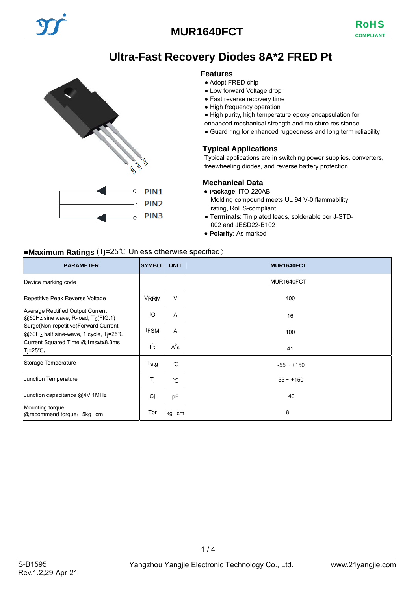# **Ultra-Fast Recovery Diodes 8A\*2 FRED Pt**

#### **Features**

● Adopt FRED chip

- Low forward Voltage drop
- Fast reverse recovery time
- High frequency operation
- High purity, high temperature epoxy encapsulation for
- enhanced mechanical strength and moisture resistance
- Guard ring for enhanced ruggedness and long term reliability

#### **Typical Applications**

Typical applications are in switching power supplies, converters, freewheeling diodes, and reverse battery protection.

#### **Mechanical Data**

- **Package**: ITO-220AB
	- Molding compound meets UL 94 V-0 flammability rating, RoHS-compliant
- **Terminals**: Tin plated leads, solderable per J-STD-002 and JESD22-B102
- **Polarity**: As marked

## ■**Maximum Ratings** (Tj=25℃ Unless otherwise specified)

**PALL** 

Č

PIN<sub>1</sub> PIN<sub>2</sub> PIN<sub>3</sub>

| <b>PARAMETER</b>                                                               | <b>SYMBOL</b> | <b>UNIT</b> | MUR1640FCT   |
|--------------------------------------------------------------------------------|---------------|-------------|--------------|
| Device marking code                                                            |               |             | MUR1640FCT   |
| Repetitive Peak Reverse Voltage                                                | <b>VRRM</b>   | V           | 400          |
| Average Rectified Output Current<br>@60Hz sine wave, R-load, Tc(FIG.1)         | ΙO            | Α           | 16           |
| Surge(Non-repetitive)Forward Current<br>@60Hz half sine-wave, 1 cycle, Tj=25°C | <b>IFSM</b>   | A           | 100          |
| Current Squared Time @1ms≤t≤8.3ms<br>Tj=25°C,                                  | $I^2t$        | $A^2s$      | 41           |
| Storage Temperature                                                            | Tstg          | °C          | $-55 - +150$ |
| Junction Temperature                                                           | Tj            | °C          | $-55 - +150$ |
| Junction capacitance @4V,1MHz                                                  | Cj            | pF          | 40           |
| Mounting torque<br>@recommend torque: 5kg cm                                   | Tor           | kg<br>cm    | 8            |

 $1/4$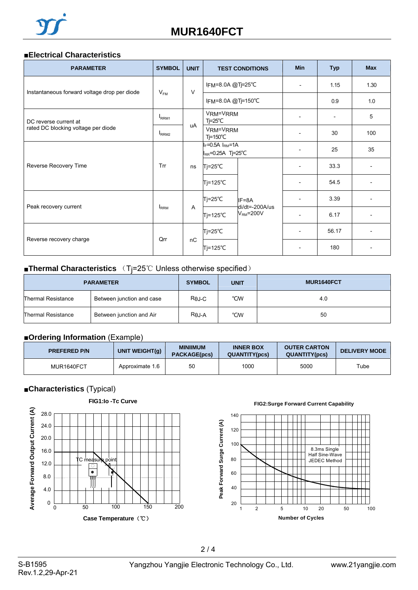#### ■**Electrical Characteristics**

| <b>PARAMETER</b>                             | <b>SYMBOL</b>     | <b>UNIT</b> | <b>TEST CONDITIONS</b>                                |                                       | <b>Min</b>               | <b>Typ</b>               | <b>Max</b> |
|----------------------------------------------|-------------------|-------------|-------------------------------------------------------|---------------------------------------|--------------------------|--------------------------|------------|
|                                              | $V_{FM}$          | $\vee$      | IFM=8.0A @Tj=25°C                                     |                                       | $\overline{\phantom{a}}$ | 1.15                     | 1.30       |
| Instantaneous forward voltage drop per diode |                   |             | IFM=8.0A @Tj=150°C                                    |                                       |                          | 0.9                      | 1.0        |
| DC reverse current at                        | I <sub>RRM1</sub> |             | VRM=VRRM<br>$Tj = 25^{\circ}C$                        |                                       |                          | $\overline{\phantom{a}}$ | 5          |
| rated DC blocking voltage per diode          | I <sub>RRM2</sub> | uA          | VRM=VRRM<br>$T = 150^{\circ}C$                        |                                       |                          | 30                       | 100        |
|                                              |                   |             | $I_F = 0.5A$ $I_{RM} = 1A$<br>$I_{RR}$ =0.25A Tj=25°C |                                       |                          | 25                       | 35         |
| Reverse Recovery Time                        | Trr               | ns          | Tj=25℃                                                | IF=8A<br>di/dt=-200A/us<br>$VRM=200V$ |                          | 33.3                     |            |
|                                              |                   |             | Tj=125℃                                               |                                       |                          | 54.5                     |            |
|                                              |                   |             | Tj=25℃                                                |                                       |                          | 3.39                     |            |
| Peak recovery current                        | <b>IRRM</b>       | A           | $Tj=125^{\circ}C$                                     |                                       |                          | 6.17                     |            |
|                                              | Qrr               | nC          | $Tj = 25^{\circ}C$                                    |                                       | $\overline{\phantom{a}}$ | 56.17                    |            |
| Reverse recovery charge                      |                   |             | Tj=125℃                                               |                                       |                          | 180                      |            |

# ■**Thermal Characteristics** (Tj=25℃ Unless otherwise specified)

| <b>PARAMETER</b>          |                           | <b>SYMBOL</b> | <b>UNIT</b> | MUR1640FCT |
|---------------------------|---------------------------|---------------|-------------|------------|
| <b>Thermal Resistance</b> | Between junction and case | Rej-C         | °CW         | 4.0        |
| Thermal Resistance        | Between junction and Air  | $R\theta J-A$ | °CW         | 50         |

# ■**Ordering Information** (Example)

| <b>PREFERED P/N</b> | UNIT WEIGHT(q)  | <b>MINIIMUM</b><br><b>PACKAGE(pcs)</b> | <b>INNER BOX</b><br><b>QUANTITY(pcs)</b> | <b>OUTER CARTON</b><br><b>QUANTITY(pcs)</b> | <b>DELIVERY MODE</b> |
|---------------------|-----------------|----------------------------------------|------------------------------------------|---------------------------------------------|----------------------|
| MUR1640FCT          | Approximate 1.6 | 50                                     | 1000                                     | 5000                                        | Tube                 |

## ■**Characteristics** (Typical)



**FIG2:Surge Forward Current Capability**

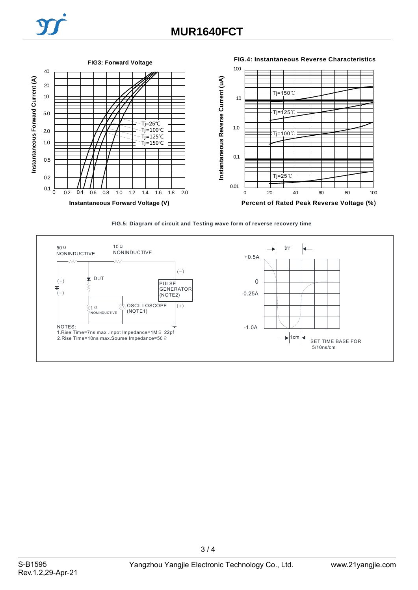



**FIG.5: Diagram of circuit and Testing wave form of reverse recovery time**



 $3/4$